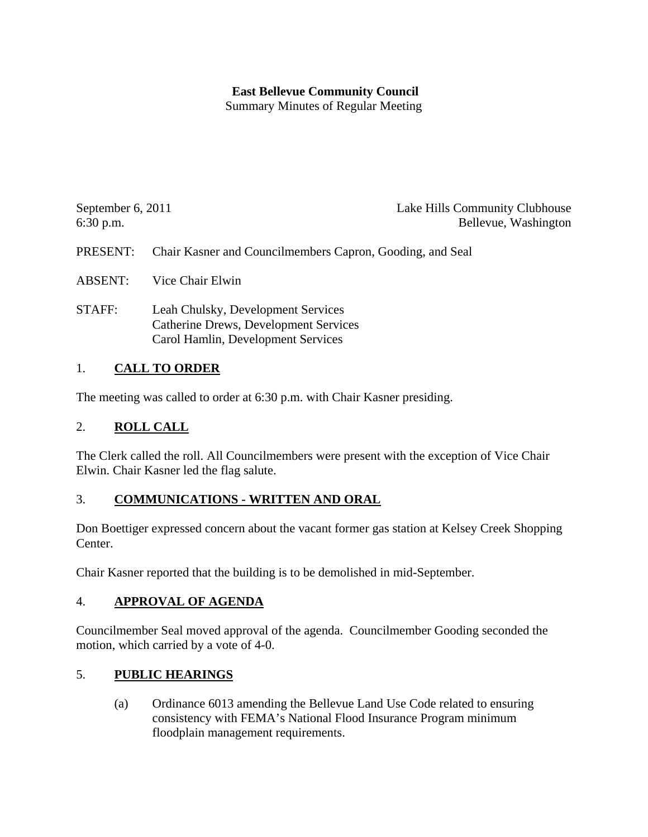### **East Bellevue Community Council**

Summary Minutes of Regular Meeting

| September 6, $2011$ | Lake Hills Community Clubhouse                            |
|---------------------|-----------------------------------------------------------|
| $6:30$ p.m.         | Bellevue, Washington                                      |
|                     |                                                           |
| PRESENT:            | Chair Kasner and Councilmembers Capron, Gooding, and Seal |

ABSENT: Vice Chair Elwin

STAFF: Leah Chulsky, Development Services Catherine Drews, Development Services Carol Hamlin, Development Services

### 1. **CALL TO ORDER**

The meeting was called to order at 6:30 p.m. with Chair Kasner presiding.

### 2. **ROLL CALL**

The Clerk called the roll. All Councilmembers were present with the exception of Vice Chair Elwin. Chair Kasner led the flag salute.

### 3. **COMMUNICATIONS - WRITTEN AND ORAL**

Don Boettiger expressed concern about the vacant former gas station at Kelsey Creek Shopping Center.

Chair Kasner reported that the building is to be demolished in mid-September.

### 4. **APPROVAL OF AGENDA**

Councilmember Seal moved approval of the agenda. Councilmember Gooding seconded the motion, which carried by a vote of 4-0.

### 5. **PUBLIC HEARINGS**

 (a) Ordinance 6013 amending the Bellevue Land Use Code related to ensuring consistency with FEMA's National Flood Insurance Program minimum floodplain management requirements.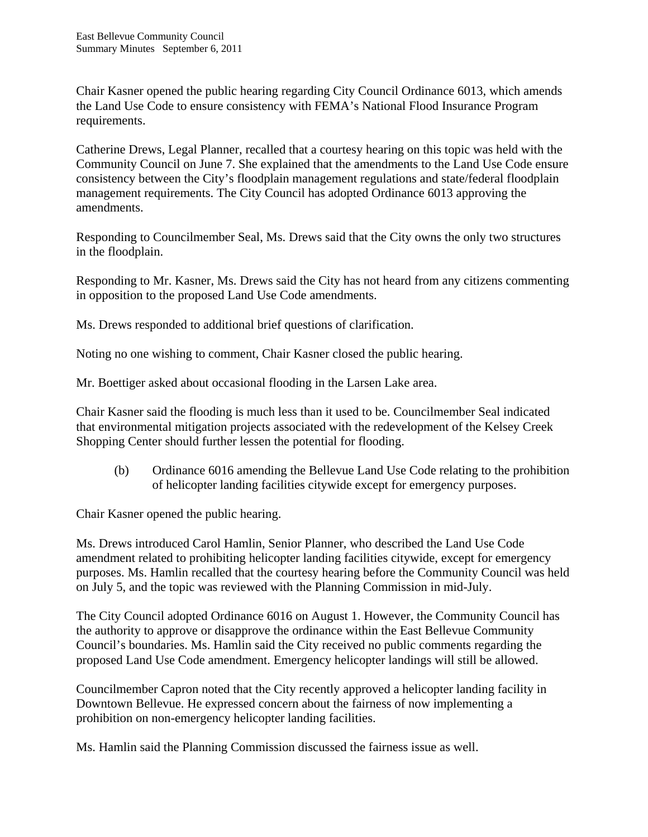Chair Kasner opened the public hearing regarding City Council Ordinance 6013, which amends the Land Use Code to ensure consistency with FEMA's National Flood Insurance Program requirements.

Catherine Drews, Legal Planner, recalled that a courtesy hearing on this topic was held with the Community Council on June 7. She explained that the amendments to the Land Use Code ensure consistency between the City's floodplain management regulations and state/federal floodplain management requirements. The City Council has adopted Ordinance 6013 approving the amendments.

Responding to Councilmember Seal, Ms. Drews said that the City owns the only two structures in the floodplain.

Responding to Mr. Kasner, Ms. Drews said the City has not heard from any citizens commenting in opposition to the proposed Land Use Code amendments.

Ms. Drews responded to additional brief questions of clarification.

Noting no one wishing to comment, Chair Kasner closed the public hearing.

Mr. Boettiger asked about occasional flooding in the Larsen Lake area.

Chair Kasner said the flooding is much less than it used to be. Councilmember Seal indicated that environmental mitigation projects associated with the redevelopment of the Kelsey Creek Shopping Center should further lessen the potential for flooding.

 (b) Ordinance 6016 amending the Bellevue Land Use Code relating to the prohibition of helicopter landing facilities citywide except for emergency purposes.

Chair Kasner opened the public hearing.

Ms. Drews introduced Carol Hamlin, Senior Planner, who described the Land Use Code amendment related to prohibiting helicopter landing facilities citywide, except for emergency purposes. Ms. Hamlin recalled that the courtesy hearing before the Community Council was held on July 5, and the topic was reviewed with the Planning Commission in mid-July.

The City Council adopted Ordinance 6016 on August 1. However, the Community Council has the authority to approve or disapprove the ordinance within the East Bellevue Community Council's boundaries. Ms. Hamlin said the City received no public comments regarding the proposed Land Use Code amendment. Emergency helicopter landings will still be allowed.

Councilmember Capron noted that the City recently approved a helicopter landing facility in Downtown Bellevue. He expressed concern about the fairness of now implementing a prohibition on non-emergency helicopter landing facilities.

Ms. Hamlin said the Planning Commission discussed the fairness issue as well.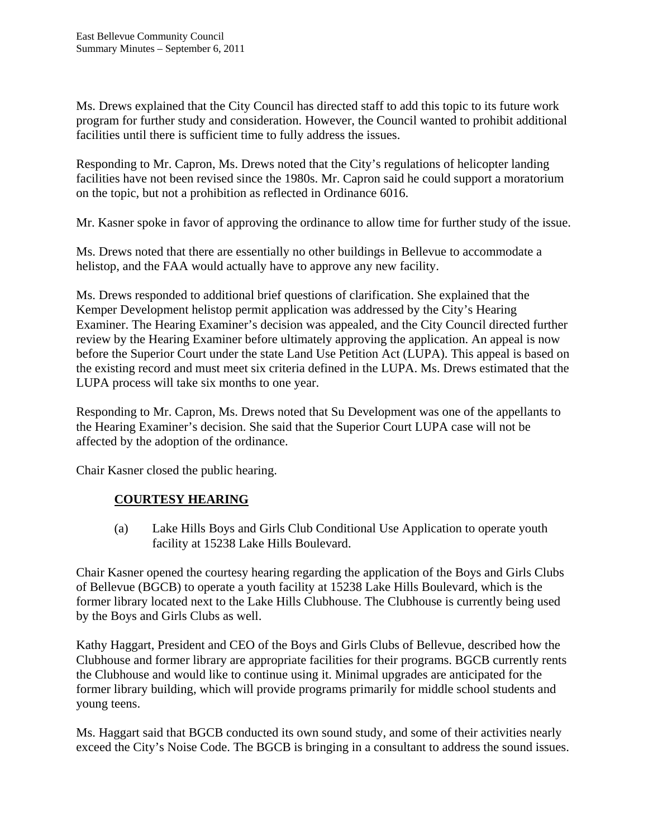Ms. Drews explained that the City Council has directed staff to add this topic to its future work program for further study and consideration. However, the Council wanted to prohibit additional facilities until there is sufficient time to fully address the issues.

Responding to Mr. Capron, Ms. Drews noted that the City's regulations of helicopter landing facilities have not been revised since the 1980s. Mr. Capron said he could support a moratorium on the topic, but not a prohibition as reflected in Ordinance 6016.

Mr. Kasner spoke in favor of approving the ordinance to allow time for further study of the issue.

Ms. Drews noted that there are essentially no other buildings in Bellevue to accommodate a helistop, and the FAA would actually have to approve any new facility.

Ms. Drews responded to additional brief questions of clarification. She explained that the Kemper Development helistop permit application was addressed by the City's Hearing Examiner. The Hearing Examiner's decision was appealed, and the City Council directed further review by the Hearing Examiner before ultimately approving the application. An appeal is now before the Superior Court under the state Land Use Petition Act (LUPA). This appeal is based on the existing record and must meet six criteria defined in the LUPA. Ms. Drews estimated that the LUPA process will take six months to one year.

Responding to Mr. Capron, Ms. Drews noted that Su Development was one of the appellants to the Hearing Examiner's decision. She said that the Superior Court LUPA case will not be affected by the adoption of the ordinance.

Chair Kasner closed the public hearing.

## **COURTESY HEARING**

 (a) Lake Hills Boys and Girls Club Conditional Use Application to operate youth facility at 15238 Lake Hills Boulevard.

Chair Kasner opened the courtesy hearing regarding the application of the Boys and Girls Clubs of Bellevue (BGCB) to operate a youth facility at 15238 Lake Hills Boulevard, which is the former library located next to the Lake Hills Clubhouse. The Clubhouse is currently being used by the Boys and Girls Clubs as well.

Kathy Haggart, President and CEO of the Boys and Girls Clubs of Bellevue, described how the Clubhouse and former library are appropriate facilities for their programs. BGCB currently rents the Clubhouse and would like to continue using it. Minimal upgrades are anticipated for the former library building, which will provide programs primarily for middle school students and young teens.

Ms. Haggart said that BGCB conducted its own sound study, and some of their activities nearly exceed the City's Noise Code. The BGCB is bringing in a consultant to address the sound issues.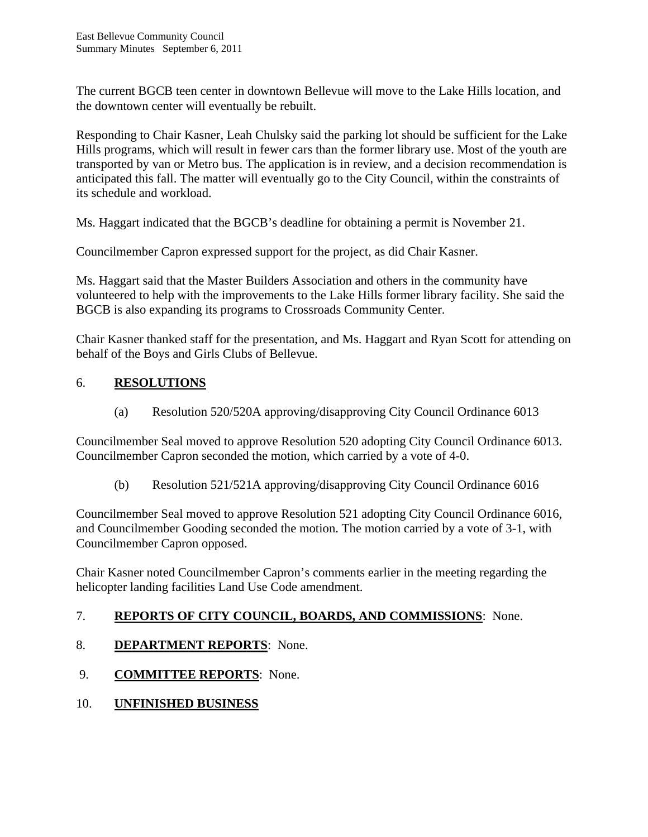The current BGCB teen center in downtown Bellevue will move to the Lake Hills location, and the downtown center will eventually be rebuilt.

Responding to Chair Kasner, Leah Chulsky said the parking lot should be sufficient for the Lake Hills programs, which will result in fewer cars than the former library use. Most of the youth are transported by van or Metro bus. The application is in review, and a decision recommendation is anticipated this fall. The matter will eventually go to the City Council, within the constraints of its schedule and workload.

Ms. Haggart indicated that the BGCB's deadline for obtaining a permit is November 21.

Councilmember Capron expressed support for the project, as did Chair Kasner.

Ms. Haggart said that the Master Builders Association and others in the community have volunteered to help with the improvements to the Lake Hills former library facility. She said the BGCB is also expanding its programs to Crossroads Community Center.

Chair Kasner thanked staff for the presentation, and Ms. Haggart and Ryan Scott for attending on behalf of the Boys and Girls Clubs of Bellevue.

## 6. **RESOLUTIONS**

(a) Resolution 520/520A approving/disapproving City Council Ordinance 6013

Councilmember Seal moved to approve Resolution 520 adopting City Council Ordinance 6013. Councilmember Capron seconded the motion, which carried by a vote of 4-0.

(b) Resolution 521/521A approving/disapproving City Council Ordinance 6016

Councilmember Seal moved to approve Resolution 521 adopting City Council Ordinance 6016, and Councilmember Gooding seconded the motion. The motion carried by a vote of 3-1, with Councilmember Capron opposed.

Chair Kasner noted Councilmember Capron's comments earlier in the meeting regarding the helicopter landing facilities Land Use Code amendment.

## 7. **REPORTS OF CITY COUNCIL, BOARDS, AND COMMISSIONS**: None.

- 8. **DEPARTMENT REPORTS**: None.
- 9. **COMMITTEE REPORTS**: None.
- 10. **UNFINISHED BUSINESS**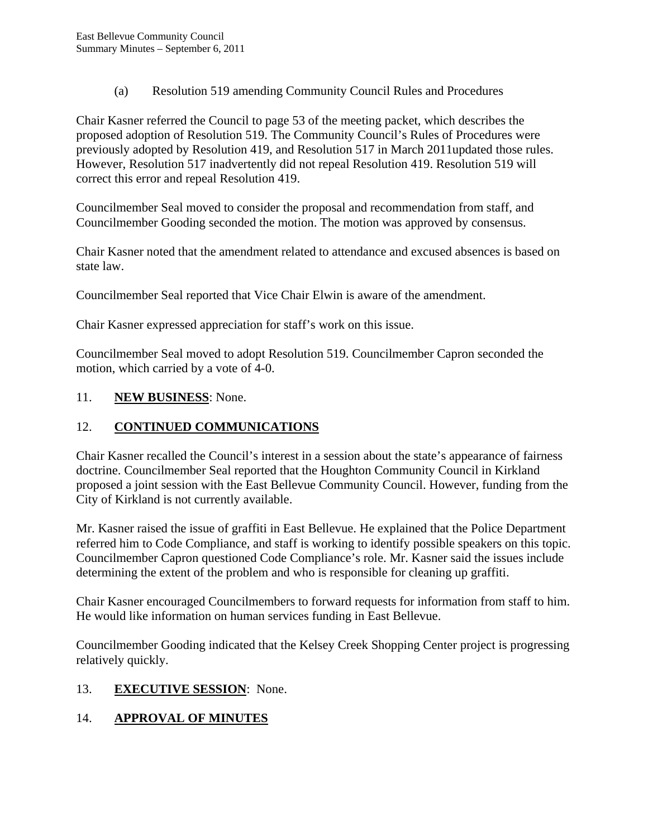(a) Resolution 519 amending Community Council Rules and Procedures

Chair Kasner referred the Council to page 53 of the meeting packet, which describes the proposed adoption of Resolution 519. The Community Council's Rules of Procedures were previously adopted by Resolution 419, and Resolution 517 in March 2011updated those rules. However, Resolution 517 inadvertently did not repeal Resolution 419. Resolution 519 will correct this error and repeal Resolution 419.

Councilmember Seal moved to consider the proposal and recommendation from staff, and Councilmember Gooding seconded the motion. The motion was approved by consensus.

Chair Kasner noted that the amendment related to attendance and excused absences is based on state law.

Councilmember Seal reported that Vice Chair Elwin is aware of the amendment.

Chair Kasner expressed appreciation for staff's work on this issue.

Councilmember Seal moved to adopt Resolution 519. Councilmember Capron seconded the motion, which carried by a vote of 4-0.

#### 11. **NEW BUSINESS**: None.

## 12. **CONTINUED COMMUNICATIONS**

Chair Kasner recalled the Council's interest in a session about the state's appearance of fairness doctrine. Councilmember Seal reported that the Houghton Community Council in Kirkland proposed a joint session with the East Bellevue Community Council. However, funding from the City of Kirkland is not currently available.

Mr. Kasner raised the issue of graffiti in East Bellevue. He explained that the Police Department referred him to Code Compliance, and staff is working to identify possible speakers on this topic. Councilmember Capron questioned Code Compliance's role. Mr. Kasner said the issues include determining the extent of the problem and who is responsible for cleaning up graffiti.

Chair Kasner encouraged Councilmembers to forward requests for information from staff to him. He would like information on human services funding in East Bellevue.

Councilmember Gooding indicated that the Kelsey Creek Shopping Center project is progressing relatively quickly.

### 13. **EXECUTIVE SESSION**: None.

## 14. **APPROVAL OF MINUTES**